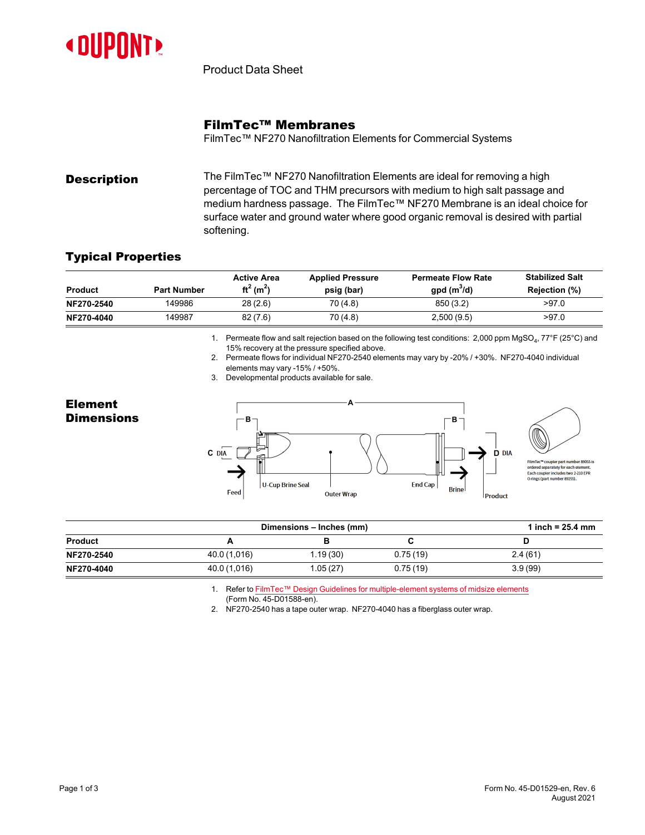

Product Data Sheet

## FilmTec™ Membranes

FilmTec™ NF270 Nanofiltration Elements for Commercial Systems

**Description** The FilmTec™ NF270 Nanofiltration Elements are ideal for removing a high percentage of TOC and THM precursors with medium to high salt passage and medium hardness passage. The FilmTec™ NF270 Membrane is an ideal choice for surface water and ground water where good organic removal is desired with partial softening.

## Typical Properties

| <b>Product</b> | <b>Part Number</b> | <b>Active Area</b><br>ft <sup>2</sup> (m <sup>2</sup> ) | <b>Applied Pressure</b><br>psig (bar) | <b>Permeate Flow Rate</b><br>$gpd(m^3/d)$ | <b>Stabilized Salt</b><br>Rejection (%) |
|----------------|--------------------|---------------------------------------------------------|---------------------------------------|-------------------------------------------|-----------------------------------------|
| NF270-2540     | 149986             | 28(2.6)                                                 | 70 (4.8)                              | 850 (3.2)                                 | >97.0                                   |
| NF270-4040     | 149987             | 82(7.6)                                                 | 70 (4.8)                              | 2,500(9.5)                                | >97.0                                   |

1. Permeate flow and salt rejection based on the following test conditions: 2,000 ppm MgSO $_4$ , 77°F (25°C) and 15% recovery at the pressure specified above.

2. Permeate flows for individual NF270-2540 elements may vary by -20% / +30%. NF270-4040 individual elements may vary -15% / +50%.

3. Developmental products available for sale.

## Element **Dimensions**



| Dimensions – Inches (mm) |              |           |          | 1 inch = $25.4 \, \text{mm}$ |
|--------------------------|--------------|-----------|----------|------------------------------|
| <b>Product</b>           |              |           |          |                              |
| NF270-2540               | 40.0 (1,016) | 1.19 (30) | 0.75(19) | 2.4(61)                      |
| NF270-4040               | 40.0 (1,016) | 1.05 (27) | 0.75(19) | 3.9(99)                      |

1. Refer to FilmTec™ Design Guidelines for [multiple-element](https://www.dupont.com/content/dam/dupont/amer/us/en/water-solutions/public/documents/en/RO-NF-FilmTec-Membrane-Sys-Design-Guidelines-Midsize-Manual-Exc-45-D01588-en.pdf) systems of midsize elements

(Form No. 45-D01588-en).

2. NF270-2540 has a tape outer wrap. NF270-4040 has a fiberglass outer wrap.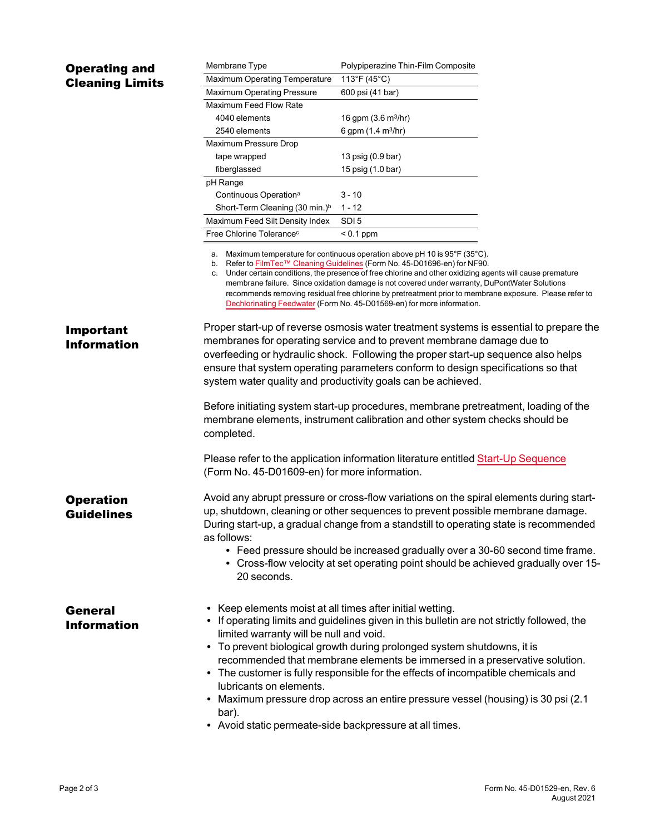| <b>Operating and</b>                  | Membrane Type                                                                                                                                                                                                                                                                                                                                                                                                                                                                                                                                                                                                                                     | Polypiperazine Thin-Film Composite   |  |  |  |  |
|---------------------------------------|---------------------------------------------------------------------------------------------------------------------------------------------------------------------------------------------------------------------------------------------------------------------------------------------------------------------------------------------------------------------------------------------------------------------------------------------------------------------------------------------------------------------------------------------------------------------------------------------------------------------------------------------------|--------------------------------------|--|--|--|--|
| <b>Cleaning Limits</b>                | <b>Maximum Operating Temperature</b>                                                                                                                                                                                                                                                                                                                                                                                                                                                                                                                                                                                                              | 113°F (45°C)                         |  |  |  |  |
|                                       | Maximum Operating Pressure                                                                                                                                                                                                                                                                                                                                                                                                                                                                                                                                                                                                                        | 600 psi (41 bar)                     |  |  |  |  |
|                                       | Maximum Feed Flow Rate                                                                                                                                                                                                                                                                                                                                                                                                                                                                                                                                                                                                                            |                                      |  |  |  |  |
|                                       | 4040 elements                                                                                                                                                                                                                                                                                                                                                                                                                                                                                                                                                                                                                                     | 16 gpm $(3.6 \text{ m}^3/\text{hr})$ |  |  |  |  |
|                                       | 2540 elements                                                                                                                                                                                                                                                                                                                                                                                                                                                                                                                                                                                                                                     | 6 gpm (1.4 m <sup>3</sup> /hr)       |  |  |  |  |
|                                       | Maximum Pressure Drop                                                                                                                                                                                                                                                                                                                                                                                                                                                                                                                                                                                                                             |                                      |  |  |  |  |
|                                       | tape wrapped                                                                                                                                                                                                                                                                                                                                                                                                                                                                                                                                                                                                                                      | 13 psig (0.9 bar)                    |  |  |  |  |
|                                       | fiberglassed                                                                                                                                                                                                                                                                                                                                                                                                                                                                                                                                                                                                                                      | 15 psig (1.0 bar)                    |  |  |  |  |
|                                       | pH Range                                                                                                                                                                                                                                                                                                                                                                                                                                                                                                                                                                                                                                          |                                      |  |  |  |  |
|                                       | Continuous Operation <sup>a</sup>                                                                                                                                                                                                                                                                                                                                                                                                                                                                                                                                                                                                                 | 3 - 10                               |  |  |  |  |
|                                       | Short-Term Cleaning (30 min.) <sup>b</sup>                                                                                                                                                                                                                                                                                                                                                                                                                                                                                                                                                                                                        | 1 - 12                               |  |  |  |  |
|                                       | Maximum Feed Silt Density Index                                                                                                                                                                                                                                                                                                                                                                                                                                                                                                                                                                                                                   | SDI <sub>5</sub>                     |  |  |  |  |
|                                       | Free Chlorine Tolerance <sup>c</sup>                                                                                                                                                                                                                                                                                                                                                                                                                                                                                                                                                                                                              | $< 0.1$ ppm                          |  |  |  |  |
|                                       | a. Maximum temperature for continuous operation above pH 10 is 95°F (35°C).<br>b. Refer to FilmTec™ Cleaning Guidelines (Form No. 45-D01696-en) for NF90.<br>c. Under certain conditions, the presence of free chlorine and other oxidizing agents will cause premature<br>membrane failure. Since oxidation damage is not covered under warranty, DuPontWater Solutions<br>recommends removing residual free chlorine by pretreatment prior to membrane exposure.  Please refer to<br>Dechlorinating Feedwater (Form No. 45-D01569-en) for more information.                                                                                     |                                      |  |  |  |  |
| Important<br><b>Information</b>       | Proper start-up of reverse osmosis water treatment systems is essential to prepare the<br>membranes for operating service and to prevent membrane damage due to<br>overfeeding or hydraulic shock. Following the proper start-up sequence also helps<br>ensure that system operating parameters conform to design specifications so that<br>system water quality and productivity goals can be achieved.                                                                                                                                                                                                                                          |                                      |  |  |  |  |
|                                       | Before initiating system start-up procedures, membrane pretreatment, loading of the<br>membrane elements, instrument calibration and other system checks should be<br>completed.                                                                                                                                                                                                                                                                                                                                                                                                                                                                  |                                      |  |  |  |  |
|                                       | Please refer to the application information literature entitled Start-Up Sequence<br>(Form No. 45-D01609-en) for more information.                                                                                                                                                                                                                                                                                                                                                                                                                                                                                                                |                                      |  |  |  |  |
| <b>Operation</b><br><b>Guidelines</b> | Avoid any abrupt pressure or cross-flow variations on the spiral elements during start-<br>up, shutdown, cleaning or other sequences to prevent possible membrane damage.<br>During start-up, a gradual change from a standstill to operating state is recommended<br>as follows:<br>• Feed pressure should be increased gradually over a 30-60 second time frame.<br>• Cross-flow velocity at set operating point should be achieved gradually over 15-                                                                                                                                                                                          |                                      |  |  |  |  |
| General<br><b>Information</b>         | 20 seconds.<br>• Keep elements moist at all times after initial wetting.<br>• If operating limits and guidelines given in this bulletin are not strictly followed, the<br>limited warranty will be null and void.<br>• To prevent biological growth during prolonged system shutdowns, it is<br>recommended that membrane elements be immersed in a preservative solution.<br>• The customer is fully responsible for the effects of incompatible chemicals and<br>lubricants on elements.<br>Maximum pressure drop across an entire pressure vessel (housing) is 30 psi (2.1<br>bar).<br>• Avoid static permeate-side backpressure at all times. |                                      |  |  |  |  |